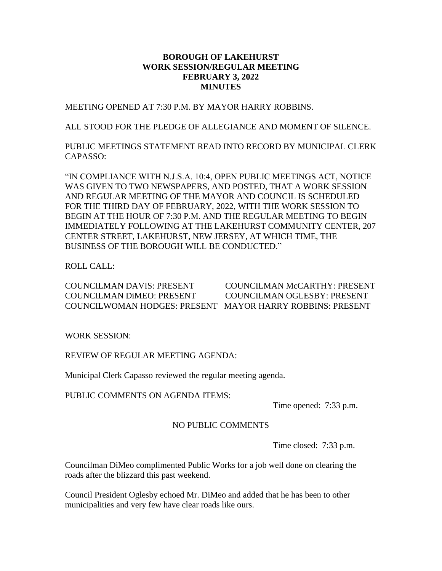### **BOROUGH OF LAKEHURST WORK SESSION/REGULAR MEETING FEBRUARY 3, 2022 MINUTES**

MEETING OPENED AT 7:30 P.M. BY MAYOR HARRY ROBBINS.

ALL STOOD FOR THE PLEDGE OF ALLEGIANCE AND MOMENT OF SILENCE.

PUBLIC MEETINGS STATEMENT READ INTO RECORD BY MUNICIPAL CLERK CAPASSO:

"IN COMPLIANCE WITH N.J.S.A. 10:4, OPEN PUBLIC MEETINGS ACT, NOTICE WAS GIVEN TO TWO NEWSPAPERS, AND POSTED, THAT A WORK SESSION AND REGULAR MEETING OF THE MAYOR AND COUNCIL IS SCHEDULED FOR THE THIRD DAY OF FEBRUARY, 2022, WITH THE WORK SESSION TO BEGIN AT THE HOUR OF 7:30 P.M. AND THE REGULAR MEETING TO BEGIN IMMEDIATELY FOLLOWING AT THE LAKEHURST COMMUNITY CENTER, 207 CENTER STREET, LAKEHURST, NEW JERSEY, AT WHICH TIME, THE BUSINESS OF THE BOROUGH WILL BE CONDUCTED."

ROLL CALL:

COUNCILMAN DAVIS: PRESENT COUNCILMAN McCARTHY: PRESENT COUNCILMAN DiMEO: PRESENT COUNCILMAN OGLESBY: PRESENT COUNCILWOMAN HODGES: PRESENT MAYOR HARRY ROBBINS: PRESENT

WORK SESSION:

REVIEW OF REGULAR MEETING AGENDA:

Municipal Clerk Capasso reviewed the regular meeting agenda.

PUBLIC COMMENTS ON AGENDA ITEMS:

Time opened: 7:33 p.m.

## NO PUBLIC COMMENTS

Time closed: 7:33 p.m.

Councilman DiMeo complimented Public Works for a job well done on clearing the roads after the blizzard this past weekend.

Council President Oglesby echoed Mr. DiMeo and added that he has been to other municipalities and very few have clear roads like ours.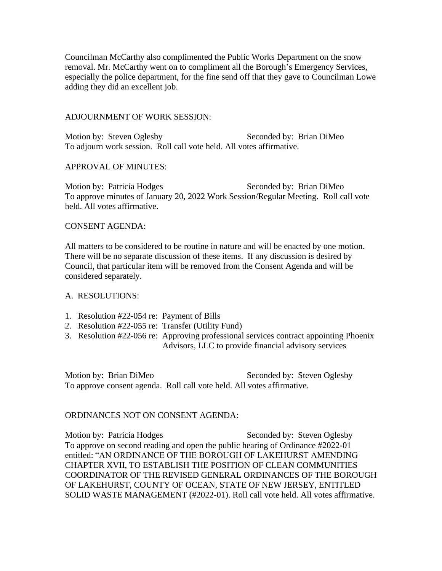Councilman McCarthy also complimented the Public Works Department on the snow removal. Mr. McCarthy went on to compliment all the Borough's Emergency Services, especially the police department, for the fine send off that they gave to Councilman Lowe adding they did an excellent job.

### ADJOURNMENT OF WORK SESSION:

Motion by: Steven Oglesby Seconded by: Brian DiMeo To adjourn work session. Roll call vote held. All votes affirmative.

## APPROVAL OF MINUTES:

Motion by: Patricia Hodges Seconded by: Brian DiMeo To approve minutes of January 20, 2022 Work Session/Regular Meeting. Roll call vote held. All votes affirmative.

## CONSENT AGENDA:

All matters to be considered to be routine in nature and will be enacted by one motion. There will be no separate discussion of these items. If any discussion is desired by Council, that particular item will be removed from the Consent Agenda and will be considered separately.

### A. RESOLUTIONS:

- 1. Resolution #22-054 re: Payment of Bills
- 2. Resolution #22-055 re: Transfer (Utility Fund)
- 3. Resolution #22-056 re: Approving professional services contract appointing Phoenix Advisors, LLC to provide financial advisory services

Motion by: Brian DiMeo Seconded by: Steven Oglesby To approve consent agenda. Roll call vote held. All votes affirmative.

# ORDINANCES NOT ON CONSENT AGENDA:

Motion by: Patricia Hodges Seconded by: Steven Oglesby To approve on second reading and open the public hearing of Ordinance #2022-01 entitled: "AN ORDINANCE OF THE BOROUGH OF LAKEHURST AMENDING CHAPTER XVII, TO ESTABLISH THE POSITION OF CLEAN COMMUNITIES COORDINATOR OF THE REVISED GENERAL ORDINANCES OF THE BOROUGH OF LAKEHURST, COUNTY OF OCEAN, STATE OF NEW JERSEY, ENTITLED SOLID WASTE MANAGEMENT (#2022-01). Roll call vote held. All votes affirmative.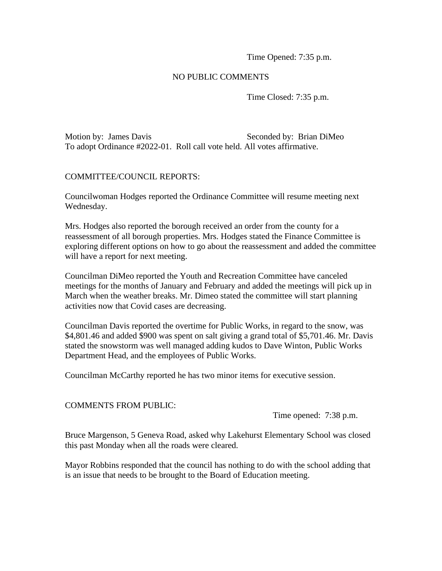Time Opened: 7:35 p.m.

## NO PUBLIC COMMENTS

Time Closed: 7:35 p.m.

Motion by: James Davis Seconded by: Brian DiMeo To adopt Ordinance #2022-01. Roll call vote held. All votes affirmative.

### COMMITTEE/COUNCIL REPORTS:

Councilwoman Hodges reported the Ordinance Committee will resume meeting next Wednesday.

Mrs. Hodges also reported the borough received an order from the county for a reassessment of all borough properties. Mrs. Hodges stated the Finance Committee is exploring different options on how to go about the reassessment and added the committee will have a report for next meeting.

Councilman DiMeo reported the Youth and Recreation Committee have canceled meetings for the months of January and February and added the meetings will pick up in March when the weather breaks. Mr. Dimeo stated the committee will start planning activities now that Covid cases are decreasing.

Councilman Davis reported the overtime for Public Works, in regard to the snow, was \$4,801.46 and added \$900 was spent on salt giving a grand total of \$5,701.46. Mr. Davis stated the snowstorm was well managed adding kudos to Dave Winton, Public Works Department Head, and the employees of Public Works.

Councilman McCarthy reported he has two minor items for executive session.

### COMMENTS FROM PUBLIC:

Time opened: 7:38 p.m.

Bruce Margenson, 5 Geneva Road, asked why Lakehurst Elementary School was closed this past Monday when all the roads were cleared.

Mayor Robbins responded that the council has nothing to do with the school adding that is an issue that needs to be brought to the Board of Education meeting.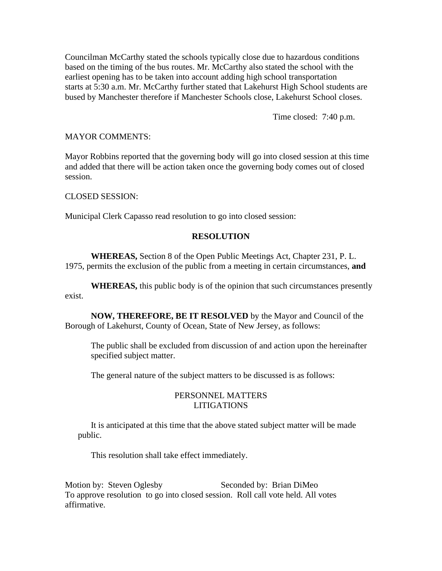Councilman McCarthy stated the schools typically close due to hazardous conditions based on the timing of the bus routes. Mr. McCarthy also stated the school with the earliest opening has to be taken into account adding high school transportation starts at 5:30 a.m. Mr. McCarthy further stated that Lakehurst High School students are bused by Manchester therefore if Manchester Schools close, Lakehurst School closes.

Time closed: 7:40 p.m.

#### MAYOR COMMENTS:

Mayor Robbins reported that the governing body will go into closed session at this time and added that there will be action taken once the governing body comes out of closed session.

CLOSED SESSION:

Municipal Clerk Capasso read resolution to go into closed session:

### **RESOLUTION**

**WHEREAS,** Section 8 of the Open Public Meetings Act, Chapter 231, P. L. 1975, permits the exclusion of the public from a meeting in certain circumstances, **and**

**WHEREAS,** this public body is of the opinion that such circumstances presently exist.

**NOW, THEREFORE, BE IT RESOLVED** by the Mayor and Council of the Borough of Lakehurst, County of Ocean, State of New Jersey, as follows:

The public shall be excluded from discussion of and action upon the hereinafter specified subject matter.

The general nature of the subject matters to be discussed is as follows:

### PERSONNEL MATTERS LITIGATIONS

It is anticipated at this time that the above stated subject matter will be made public.

This resolution shall take effect immediately.

Motion by: Steven Oglesby Seconded by: Brian DiMeo To approve resolution to go into closed session. Roll call vote held. All votes affirmative.